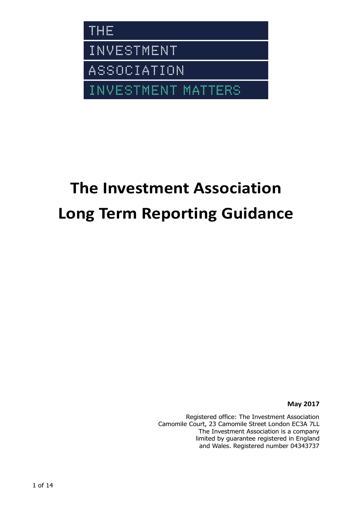

# **The Investment Association Long Term Reporting Guidance**

**May 2017**

Registered office: The Investment Association Camomile Court, 23 Camomile Street London EC3A 7LL The Investment Association is a company limited by guarantee registered in England and Wales. Registered number 04343737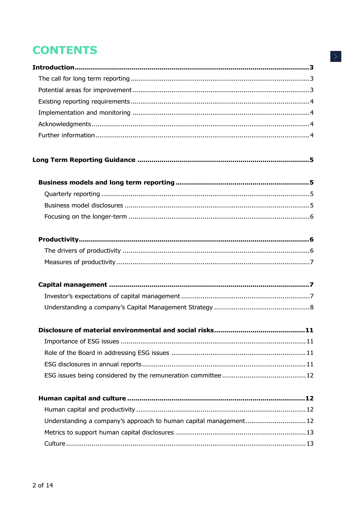## **CONTENTS**

| Disclosure of material environmental and social risks<br>11       |
|-------------------------------------------------------------------|
|                                                                   |
|                                                                   |
|                                                                   |
|                                                                   |
|                                                                   |
|                                                                   |
| Understanding a company's approach to human capital management 12 |
|                                                                   |
|                                                                   |
|                                                                   |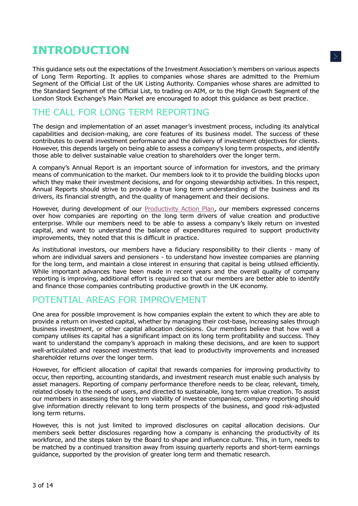## <span id="page-2-0"></span>**INTRODUCTION**

This guidance sets out the expectations of the Investment Association's members on various aspects of Long Term Reporting. It applies to companies whose shares are admitted to the Premium Segment of the Official List of the UK Listing Authority. Companies whose shares are admitted to the Standard Segment of the Official List, to trading on AIM, or to the High Growth Segment of the London Stock Exchange's Main Market are encouraged to adopt this guidance as best practice.

## <span id="page-2-1"></span>THE CALL FOR LONG TERM REPORTING

The design and implementation of an asset manager's investment process, including its analytical capabilities and decision-making, are core features of its business model. The success of these contributes to overall investment performance and the delivery of investment objectives for clients. However, this depends largely on being able to assess a company's long term prospects, and identify those able to deliver sustainable value creation to shareholders over the longer term.

A company's Annual Report is an important source of information for investors, and the primary means of communication to the market. Our members look to it to provide the building blocks upon which they make their investment decisions, and for ongoing stewardship activities. In this respect, Annual Reports should strive to provide a true long term understanding of the business and its drivers, its financial strength, and the quality of management and their decisions.

However, during development of our [Productivity Action Plan,](https://www.theinvestmentassociation.org/assets/components/ima_filesecurity/secure.php?f=press/2016/20160322-supportingukproductivity.pdf) our members expressed concerns over how companies are reporting on the long term drivers of value creation and productive enterprise. While our members need to be able to assess a company's likely return on invested capital, and want to understand the balance of expenditures required to support productivity improvements, they noted that this is difficult in practice.

As institutional investors, our members have a fiduciary responsibility to their clients - many of whom are individual savers and pensioners - to understand how investee companies are planning for the long term, and maintain a close interest in ensuring that capital is being utilised efficiently. While important advances have been made in recent years and the overall quality of company reporting is improving, additional effort is required so that our members are better able to identify and finance those companies contributing productive growth in the UK economy.

## <span id="page-2-2"></span>POTENTIAL AREAS FOR IMPROVEMENT

One area for possible improvement is how companies explain the extent to which they are able to provide a return on invested capital, whether by managing their cost-base, increasing sales through business investment, or other capital allocation decisions. Our members believe that how well a company utilises its capital has a significant impact on its long term profitability and success. They want to understand the company's approach in making these decisions, and are keen to support well-articulated and reasoned investments that lead to productivity improvements and increased shareholder returns over the longer term.

However, for efficient allocation of capital that rewards companies for improving productivity to occur, then reporting, accounting standards, and investment research must enable such analysis by asset managers. Reporting of company performance therefore needs to be clear, relevant, timely, related closely to the needs of users, and directed to sustainable, long term value creation. To assist our members in assessing the long term viability of investee companies, company reporting should give information directly relevant to long term prospects of the business, and good risk-adjusted long term returns.

However, this is not just limited to improved disclosures on capital allocation decisions. Our members seek better disclosures regarding how a company is enhancing the productivity of its workforce, and the steps taken by the Board to shape and influence culture. This, in turn, needs to be matched by a continued transition away from issuing quarterly reports and short-term earnings guidance, supported by the provision of greater long term and thematic research.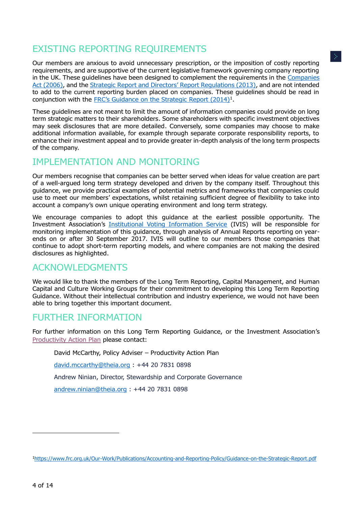## <span id="page-3-0"></span>EXISTING REPORTING REQUIREMENTS

Our members are anxious to avoid unnecessary prescription, or the imposition of costly reporting requirements, and are supportive of the current legislative framework governing company reporting in the UK. These guidelines have been designed to complement the requirements in the [Companies](http://www.legislation.gov.uk/ukpga/2006/46/contents)  [Act \(2006\),](http://www.legislation.gov.uk/ukpga/2006/46/contents) and the [Strategic Report and Directors](http://www.legislation.gov.uk/ukdsi/2013/9780111540169/contents)' Report Regulations (2013), and are not intended to add to the current reporting burden placed on companies. These guidelines should be read in conjunction with the FRC'[s Guidance on the Strategic Report \(2014\)](https://www.frc.org.uk/Our-Work/Publications/Accounting-and-Reporting-Policy/Guidance-on-the-Strategic-Report.pdf)<sup>1</sup>.

These guidelines are not meant to limit the amount of information companies could provide on long term strategic matters to their shareholders. Some shareholders with specific investment objectives may seek disclosures that are more detailed. Conversely, some companies may choose to make additional information available, for example through separate corporate responsibility reports, to enhance their investment appeal and to provide greater in-depth analysis of the long term prospects of the company.

## <span id="page-3-1"></span>IMPLEMENTATION AND MONITORING

Our members recognise that companies can be better served when ideas for value creation are part of a well-argued long term strategy developed and driven by the company itself. Throughout this guidance, we provide practical examples of potential metrics and frameworks that companies could use to meet our members' expectations, whilst retaining sufficient degree of flexibility to take into account a company's own unique operating environment and long term strategy.

We encourage companies to adopt this guidance at the earliest possible opportunity. The Investment Association's [Institutional Voting Information Service](https://www.ivis.co.uk/) (IVIS) will be responsible for monitoring implementation of this guidance, through analysis of Annual Reports reporting on yearends on or after 30 September 2017. IVIS will outline to our members those companies that continue to adopt short-term reporting models, and where companies are not making the desired disclosures as highlighted.

### <span id="page-3-2"></span>ACKNOWLEDGMENTS

We would like to thank the members of the Long Term Reporting, Capital Management, and Human Capital and Culture Working Groups for their commitment to developing this Long Term Reporting Guidance. Without their intellectual contribution and industry experience, we would not have been able to bring together this important document.

## <span id="page-3-3"></span>FURTHER INFORMATION

For further information on this Long Term Reporting Guidance, or the Investment Association's [Productivity Action Plan](https://www.theinvestmentassociation.org/assets/components/ima_filesecurity/secure.php?f=press/2016/20160322-supportingukproductivity.pdf) please contact:

David McCarthy, Policy Adviser – Productivity Action Plan

[david.mccarthy@theia.org](mailto:david.mccarthy@theia.org) : +44 20 7831 0898

Andrew Ninian, Director, Stewardship and Corporate Governance

[andrew.ninian@theia.org](mailto:andrew.ninian@theia.org) : +44 20 7831 0898

-

<sup>1</sup><https://www.frc.org.uk/Our-Work/Publications/Accounting-and-Reporting-Policy/Guidance-on-the-Strategic-Report.pdf>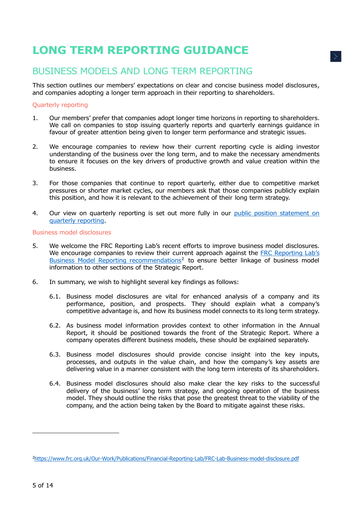## <span id="page-4-0"></span>**LONG TERM REPORTING GUIDANCE**

## <span id="page-4-1"></span>BUSINESS MODELS AND LONG TERM REPORTING

This section outlines our members' expectations on clear and concise business model disclosures, and companies adopting a longer term approach in their reporting to shareholders.

#### <span id="page-4-2"></span>Quarterly reporting

- 1. Our members' prefer that companies adopt longer time horizons in reporting to shareholders. We call on companies to stop issuing quarterly reports and quarterly earnings guidance in favour of greater attention being given to longer term performance and strategic issues.
- 2. We encourage companies to review how their current reporting cycle is aiding investor understanding of the business over the long term, and to make the necessary amendments to ensure it focuses on the key drivers of productive growth and value creation within the business.
- 3. For those companies that continue to report quarterly, either due to competitive market pressures or shorter market cycles, our members ask that those companies publicly explain this position, and how it is relevant to the achievement of their long term strategy.
- 4. Our view on quarterly reporting is set out more fully in our [public position statement on](https://www.ivis.co.uk/media/12477/Public-Position-Statement-Quarterly-Reporting.pdf)  [quarterly reporting.](https://www.ivis.co.uk/media/12477/Public-Position-Statement-Quarterly-Reporting.pdf)

#### <span id="page-4-3"></span>Business model disclosures

- 5. We welcome the FRC Reporting Lab's recent efforts to improve business model disclosures. We encourage companies to review their current approach against the [FRC Reporting Lab](https://www.frc.org.uk/Our-Work/Publications/Financial-Reporting-Lab/FRC-Lab-Business-model-disclosure.pdf)'s [Business Model Reporting recommendations](https://www.frc.org.uk/Our-Work/Publications/Financial-Reporting-Lab/FRC-Lab-Business-model-disclosure.pdf)<sup>2</sup> to ensure better linkage of business model information to other sections of the Strategic Report.
- 6. In summary, we wish to highlight several key findings as follows:
	- 6.1. Business model disclosures are vital for enhanced analysis of a company and its performance, position, and prospects. They should explain what a company's competitive advantage is, and how its business model connects to its long term strategy.
	- 6.2. As business model information provides context to other information in the Annual Report, it should be positioned towards the front of the Strategic Report. Where a company operates different business models, these should be explained separately.
	- 6.3. Business model disclosures should provide concise insight into the key inputs, processes, and outputs in the value chain, and how the company's key assets are delivering value in a manner consistent with the long term interests of its shareholders.
	- 6.4. Business model disclosures should also make clear the key risks to the successful delivery of the business' long term strategy, and ongoing operation of the business model. They should outline the risks that pose the greatest threat to the viability of the company, and the action being taken by the Board to mitigate against these risks.

-

<sup>2</sup><https://www.frc.org.uk/Our-Work/Publications/Financial-Reporting-Lab/FRC-Lab-Business-model-disclosure.pdf>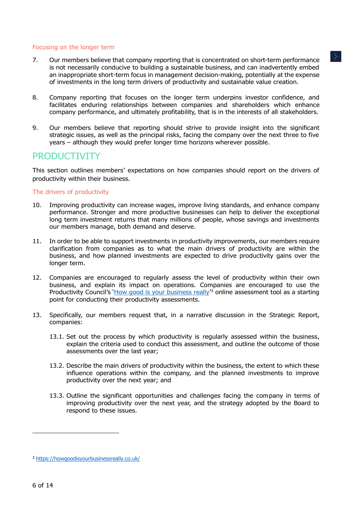#### <span id="page-5-0"></span>Focusing on the longer term

- 7. Our members believe that company reporting that is concentrated on short-term performance is not necessarily conducive to building a sustainable business, and can inadvertently embed an inappropriate short-term focus in management decision-making, potentially at the expense of investments in the long term drivers of productivity and sustainable value creation.
- 8. Company reporting that focuses on the longer term underpins investor confidence, and facilitates enduring relationships between companies and shareholders which enhance company performance, and ultimately profitability, that is in the interests of all stakeholders.
- 9. Our members believe that reporting should strive to provide insight into the significant strategic issues, as well as the principal risks, facing the company over the next three to five years – although they would prefer longer time horizons wherever possible.

## <span id="page-5-1"></span>**PRODUCTIVITY**

This section outlines members' expectations on how companies should report on the drivers of productivity within their business.

#### <span id="page-5-2"></span>The drivers of productivity

- 10. Improving productivity can increase wages, improve living standards, and enhance company performance. Stronger and more productive businesses can help to deliver the exceptional long term investment returns that many millions of people, whose savings and investments our members manage, both demand and deserve.
- 11. In order to be able to support investments in productivity improvements, our members require clarification from companies as to what the main drivers of productivity are within the business, and how planned investments are expected to drive productivity gains over the longer term.
- 12. Companies are encouraged to regularly assess the level of productivity within their own business, and explain its impact on operations. Companies are encouraged to use the Productivity Council's '[How good is your business really](https://howgoodisyourbusinessreally.co.uk/)<sup>'3</sup> online assessment tool as a starting point for conducting their productivity assessments.
- 13. Specifically, our members request that, in a narrative discussion in the Strategic Report, companies:
	- 13.1. Set out the process by which productivity is regularly assessed within the business, explain the criteria used to conduct this assessment, and outline the outcome of those assessments over the last year;
	- 13.2. Describe the main drivers of productivity within the business, the extent to which these influence operations within the company, and the planned investments to improve productivity over the next year; and
	- 13.3. Outline the significant opportunities and challenges facing the company in terms of improving productivity over the next year, and the strategy adopted by the Board to respond to these issues.

-

<sup>3</sup> <https://howgoodisyourbusinessreally.co.uk/>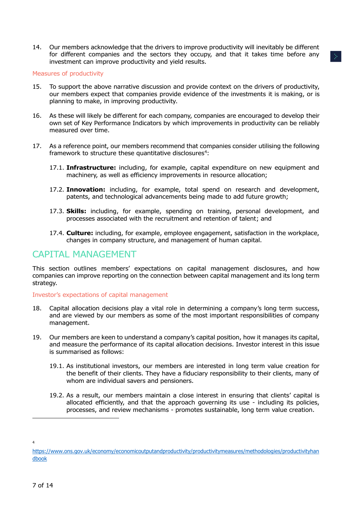14. Our members acknowledge that the drivers to improve productivity will inevitably be different for different companies and the sectors they occupy, and that it takes time before any investment can improve productivity and yield results.

#### <span id="page-6-0"></span>Measures of productivity

- 15. To support the above narrative discussion and provide context on the drivers of productivity, our members expect that companies provide evidence of the investments it is making, or is planning to make, in improving productivity.
- 16. As these will likely be different for each company, companies are encouraged to develop their own set of Key Performance Indicators by which improvements in productivity can be reliably measured over time.
- 17. As a reference point, our members recommend that companies consider utilising the following framework to structure these quantitative disclosures<sup>4</sup>:
	- 17.1. **Infrastructure:** including, for example, capital expenditure on new equipment and machinery, as well as efficiency improvements in resource allocation;
	- 17.2. **Innovation:** including, for example, total spend on research and development, patents, and technological advancements being made to add future growth;
	- 17.3. **Skills:** including, for example, spending on training, personal development, and processes associated with the recruitment and retention of talent; and
	- 17.4. **Culture:** including, for example, employee engagement, satisfaction in the workplace, changes in company structure, and management of human capital.

### <span id="page-6-1"></span>CAPITAL MANAGEMENT

This section outlines members' expectations on capital management disclosures, and how companies can improve reporting on the connection between capital management and its long term strategy.

#### <span id="page-6-2"></span>Investor's expectations of capital management

- 18. Capital allocation decisions play a vital role in determining a company's long term success, and are viewed by our members as some of the most important responsibilities of company management.
- 19. Our members are keen to understand a company's capital position, how it manages its capital, and measure the performance of its capital allocation decisions. Investor interest in this issue is summarised as follows:
	- 19.1. As institutional investors, our members are interested in long term value creation for the benefit of their clients. They have a fiduciary responsibility to their clients, many of whom are individual savers and pensioners.
	- 19.2. As a result, our members maintain a close interest in ensuring that clients' capital is allocated efficiently, and that the approach governing its use - including its policies, processes, and review mechanisms - promotes sustainable, long term value creation.

-

4

[https://www.ons.gov.uk/economy/economicoutputandproductivity/productivitymeasures/methodologies/productivityhan](https://www.ons.gov.uk/economy/economicoutputandproductivity/productivitymeasures/methodologies/productivityhandbook) [dbook](https://www.ons.gov.uk/economy/economicoutputandproductivity/productivitymeasures/methodologies/productivityhandbook)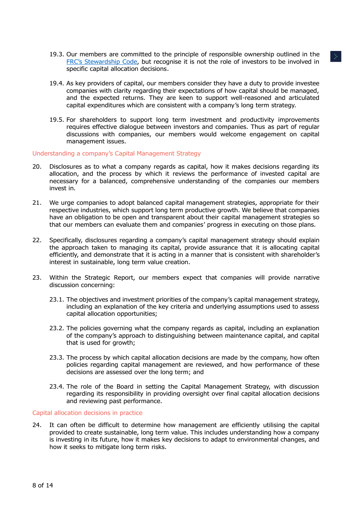- 19.3. Our members are committed to the principle of responsible ownership outlined in the FRC'[s Stewardship Code,](https://www.frc.org.uk/Our-Work/Codes-Standards/Corporate-governance/UK-Stewardship-Code.aspx) but recognise it is not the role of investors to be involved in specific capital allocation decisions.
- 19.4. As key providers of capital, our members consider they have a duty to provide investee companies with clarity regarding their expectations of how capital should be managed, and the expected returns. They are keen to support well-reasoned and articulated capital expenditures which are consistent with a company's long term strategy.
- 19.5. For shareholders to support long term investment and productivity improvements requires effective dialogue between investors and companies. Thus as part of regular discussions with companies, our members would welcome engagement on capital management issues.

<span id="page-7-0"></span>Understanding a company's Capital Management Strategy

- 20. Disclosures as to what a company regards as capital, how it makes decisions regarding its allocation, and the process by which it reviews the performance of invested capital are necessary for a balanced, comprehensive understanding of the companies our members invest in.
- 21. We urge companies to adopt balanced capital management strategies, appropriate for their respective industries, which support long term productive growth. We believe that companies have an obligation to be open and transparent about their capital management strategies so that our members can evaluate them and companies' progress in executing on those plans.
- 22. Specifically, disclosures regarding a company's capital management strategy should explain the approach taken to managing its capital, provide assurance that it is allocating capital efficiently, and demonstrate that it is acting in a manner that is consistent with shareholder's interest in sustainable, long term value creation.
- 23. Within the Strategic Report, our members expect that companies will provide narrative discussion concerning:
	- 23.1. The objectives and investment priorities of the company's capital management strategy, including an explanation of the key criteria and underlying assumptions used to assess capital allocation opportunities;
	- 23.2. The policies governing what the company regards as capital, including an explanation of the company's approach to distinguishing between maintenance capital, and capital that is used for growth;
	- 23.3. The process by which capital allocation decisions are made by the company, how often policies regarding capital management are reviewed, and how performance of these decisions are assessed over the long term; and
	- 23.4. The role of the Board in setting the Capital Management Strategy, with discussion regarding its responsibility in providing oversight over final capital allocation decisions and reviewing past performance.

Capital allocation decisions in practice

24. It can often be difficult to determine how management are efficiently utilising the capital provided to create sustainable, long term value. This includes understanding how a company is investing in its future, how it makes key decisions to adapt to environmental changes, and how it seeks to mitigate long term risks.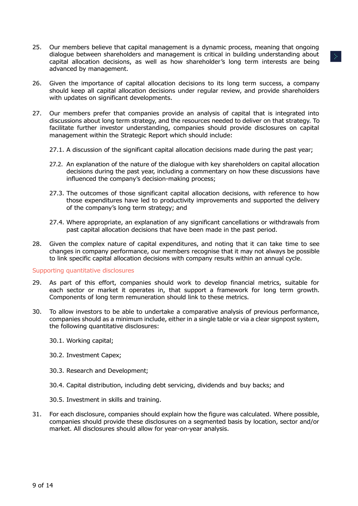- 25. Our members believe that capital management is a dynamic process, meaning that ongoing dialogue between shareholders and management is critical in building understanding about capital allocation decisions, as well as how shareholder's long term interests are being advanced by management.
- 26. Given the importance of capital allocation decisions to its long term success, a company should keep all capital allocation decisions under regular review, and provide shareholders with updates on significant developments.
- 27. Our members prefer that companies provide an analysis of capital that is integrated into discussions about long term strategy, and the resources needed to deliver on that strategy. To facilitate further investor understanding, companies should provide disclosures on capital management within the Strategic Report which should include:
	- 27.1. A discussion of the significant capital allocation decisions made during the past year;
	- 27.2. An explanation of the nature of the dialogue with key shareholders on capital allocation decisions during the past year, including a commentary on how these discussions have influenced the company's decision-making process;
	- 27.3. The outcomes of those significant capital allocation decisions, with reference to how those expenditures have led to productivity improvements and supported the delivery of the company's long term strategy; and
	- 27.4. Where appropriate, an explanation of any significant cancellations or withdrawals from past capital allocation decisions that have been made in the past period.
- 28. Given the complex nature of capital expenditures, and noting that it can take time to see changes in company performance, our members recognise that it may not always be possible to link specific capital allocation decisions with company results within an annual cycle.

#### Supporting quantitative disclosures

- 29. As part of this effort, companies should work to develop financial metrics, suitable for each sector or market it operates in, that support a framework for long term growth. Components of long term remuneration should link to these metrics.
- 30. To allow investors to be able to undertake a comparative analysis of previous performance, companies should as a minimum include, either in a single table or via a clear signpost system, the following quantitative disclosures:
	- 30.1. Working capital;
	- 30.2. Investment Capex;
	- 30.3. Research and Development;
	- 30.4. Capital distribution, including debt servicing, dividends and buy backs; and
	- 30.5. Investment in skills and training.
- 31. For each disclosure, companies should explain how the figure was calculated. Where possible, companies should provide these disclosures on a segmented basis by location, sector and/or market. All disclosures should allow for year-on-year analysis.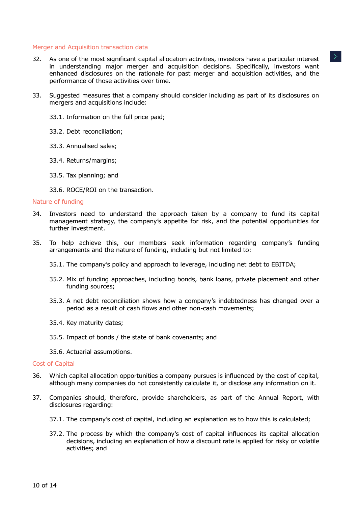#### Merger and Acquisition transaction data

- 32. As one of the most significant capital allocation activities, investors have a particular interest in understanding major merger and acquisition decisions. Specifically, investors want enhanced disclosures on the rationale for past merger and acquisition activities, and the performance of those activities over time.
- 33. Suggested measures that a company should consider including as part of its disclosures on mergers and acquisitions include:
	- 33.1. Information on the full price paid;
	- 33.2. Debt reconciliation;
	- 33.3. Annualised sales;
	- 33.4. Returns/margins;
	- 33.5. Tax planning; and
	- 33.6. ROCE/ROI on the transaction.

#### Nature of funding

- 34. Investors need to understand the approach taken by a company to fund its capital management strategy, the company's appetite for risk, and the potential opportunities for further investment.
- 35. To help achieve this, our members seek information regarding company's funding arrangements and the nature of funding, including but not limited to:
	- 35.1. The company's policy and approach to leverage, including net debt to EBITDA;
	- 35.2. Mix of funding approaches, including bonds, bank loans, private placement and other funding sources;
	- 35.3. A net debt reconciliation shows how a company's indebtedness has changed over a period as a result of cash flows and other non-cash movements;
	- 35.4. Key maturity dates;
	- 35.5. Impact of bonds / the state of bank covenants; and
	- 35.6. Actuarial assumptions.

#### Cost of Capital

- 36. Which capital allocation opportunities a company pursues is influenced by the cost of capital, although many companies do not consistently calculate it, or disclose any information on it.
- 37. Companies should, therefore, provide shareholders, as part of the Annual Report, with disclosures regarding:
	- 37.1. The company's cost of capital, including an explanation as to how this is calculated;
	- 37.2. The process by which the company's cost of capital influences its capital allocation decisions, including an explanation of how a discount rate is applied for risky or volatile activities; and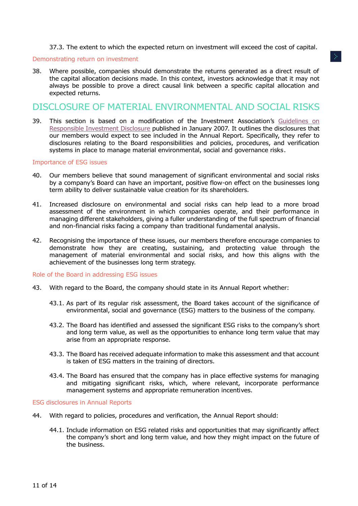37.3. The extent to which the expected return on investment will exceed the cost of capital.

#### Demonstrating return on investment

38. Where possible, companies should demonstrate the returns generated as a direct result of the capital allocation decisions made. In this context, investors acknowledge that it may not always be possible to prove a direct causal link between a specific capital allocation and expected returns.

## <span id="page-10-0"></span>DISCLOSURE OF MATERIAL ENVIRONMENTAL AND SOCIAL RISKS

39. This section is based on a modification of the Investment Association's [Guidelines on](https://ivis.co.uk/media/11203/Rebranded-Guidelines-on-Responsible-Investment-Disclosure-January-2007-3-June-2015-.pdf)  [Responsible Investment Disclosure](https://ivis.co.uk/media/11203/Rebranded-Guidelines-on-Responsible-Investment-Disclosure-January-2007-3-June-2015-.pdf) published in January 2007. It outlines the disclosures that our members would expect to see included in the Annual Report. Specifically, they refer to disclosures relating to the Board responsibilities and policies, procedures, and verification systems in place to manage material environmental, social and governance risks.

#### <span id="page-10-1"></span>Importance of ESG issues

- 40. Our members believe that sound management of significant environmental and social risks by a company's Board can have an important, positive flow-on effect on the businesses long term ability to deliver sustainable value creation for its shareholders.
- 41. Increased disclosure on environmental and social risks can help lead to a more broad assessment of the environment in which companies operate, and their performance in managing different stakeholders, giving a fuller understanding of the full spectrum of financial and non-financial risks facing a company than traditional fundamental analysis.
- 42. Recognising the importance of these issues, our members therefore encourage companies to demonstrate how they are creating, sustaining, and protecting value through the management of material environmental and social risks, and how this aligns with the achievement of the businesses long term strategy.

<span id="page-10-2"></span>Role of the Board in addressing ESG issues

- 43. With regard to the Board, the company should state in its Annual Report whether:
	- 43.1. As part of its regular risk assessment, the Board takes account of the significance of environmental, social and governance (ESG) matters to the business of the company.
	- 43.2. The Board has identified and assessed the significant ESG risks to the company's short and long term value, as well as the opportunities to enhance long term value that may arise from an appropriate response.
	- 43.3. The Board has received adequate information to make this assessment and that account is taken of ESG matters in the training of directors.
	- 43.4. The Board has ensured that the company has in place effective systems for managing and mitigating significant risks, which, where relevant, incorporate performance management systems and appropriate remuneration incentives.

<span id="page-10-3"></span>ESG disclosures in Annual Reports

- 44. With regard to policies, procedures and verification, the Annual Report should:
	- 44.1. Include information on ESG related risks and opportunities that may significantly affect the company's short and long term value, and how they might impact on the future of the business.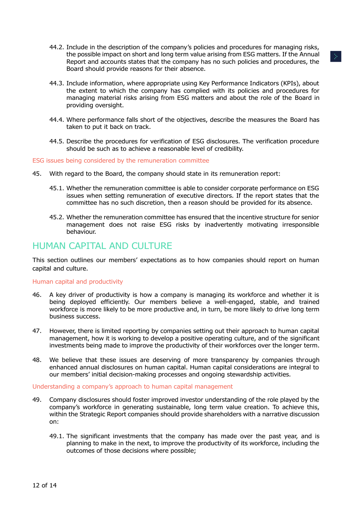- 44.2. Include in the description of the company's policies and procedures for managing risks, the possible impact on short and long term value arising from ESG matters. If the Annual Report and accounts states that the company has no such policies and procedures, the Board should provide reasons for their absence.
- 44.3. Include information, where appropriate using Key Performance Indicators (KPIs), about the extent to which the company has complied with its policies and procedures for managing material risks arising from ESG matters and about the role of the Board in providing oversight.
- 44.4. Where performance falls short of the objectives, describe the measures the Board has taken to put it back on track.
- 44.5. Describe the procedures for verification of ESG disclosures. The verification procedure should be such as to achieve a reasonable level of credibility.

<span id="page-11-0"></span>ESG issues being considered by the remuneration committee

- 45. With regard to the Board, the company should state in its remuneration report:
	- 45.1. Whether the remuneration committee is able to consider corporate performance on ESG issues when setting remuneration of executive directors. If the report states that the committee has no such discretion, then a reason should be provided for its absence.
	- 45.2. Whether the remuneration committee has ensured that the incentive structure for senior management does not raise ESG risks by inadvertently motivating irresponsible behaviour.

### <span id="page-11-1"></span>HUMAN CAPITAL AND CULTURE

This section outlines our members' expectations as to how companies should report on human capital and culture.

#### <span id="page-11-2"></span>Human capital and productivity

- 46. A key driver of productivity is how a company is managing its workforce and whether it is being deployed efficiently. Our members believe a well-engaged, stable, and trained workforce is more likely to be more productive and, in turn, be more likely to drive long term business success.
- 47. However, there is limited reporting by companies setting out their approach to human capital management, how it is working to develop a positive operating culture, and of the significant investments being made to improve the productivity of their workforces over the longer term.
- 48. We believe that these issues are deserving of more transparency by companies through enhanced annual disclosures on human capital. Human capital considerations are integral to our members' initial decision-making processes and ongoing stewardship activities.

<span id="page-11-3"></span>Understanding a company's approach to human capital management

- 49. Company disclosures should foster improved investor understanding of the role played by the company's workforce in generating sustainable, long term value creation. To achieve this, within the Strategic Report companies should provide shareholders with a narrative discussion on:
	- 49.1. The significant investments that the company has made over the past year, and is planning to make in the next, to improve the productivity of its workforce, including the outcomes of those decisions where possible;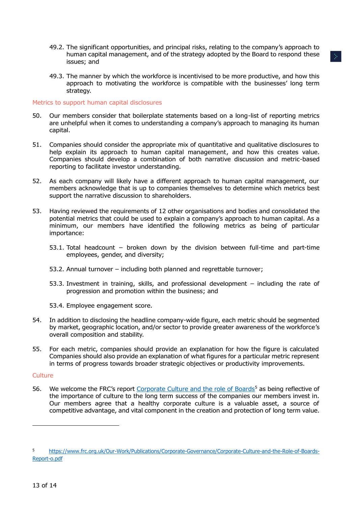- 49.2. The significant opportunities, and principal risks, relating to the company's approach to human capital management, and of the strategy adopted by the Board to respond these issues; and
- 49.3. The manner by which the workforce is incentivised to be more productive, and how this approach to motivating the workforce is compatible with the businesses' long term strategy.

#### <span id="page-12-0"></span>Metrics to support human capital disclosures

- 50. Our members consider that boilerplate statements based on a long-list of reporting metrics are unhelpful when it comes to understanding a company's approach to managing its human capital.
- 51. Companies should consider the appropriate mix of quantitative and qualitative disclosures to help explain its approach to human capital management, and how this creates value. Companies should develop a combination of both narrative discussion and metric-based reporting to facilitate investor understanding.
- 52. As each company will likely have a different approach to human capital management, our members acknowledge that is up to companies themselves to determine which metrics best support the narrative discussion to shareholders.
- 53. Having reviewed the requirements of 12 other organisations and bodies and consolidated the potential metrics that could be used to explain a company's approach to human capital. As a minimum, our members have identified the following metrics as being of particular importance:
	- 53.1. Total headcount broken down by the division between full-time and part-time employees, gender, and diversity;
	- 53.2. Annual turnover including both planned and regrettable turnover;
	- 53.3. Investment in training, skills, and professional development including the rate of progression and promotion within the business; and
	- 53.4. Employee engagement score.
- 54. In addition to disclosing the headline company-wide figure, each metric should be segmented by market, geographic location, and/or sector to provide greater awareness of the workforce's overall composition and stability.
- 55. For each metric, companies should provide an explanation for how the figure is calculated Companies should also provide an explanation of what figures for a particular metric represent in terms of progress towards broader strategic objectives or productivity improvements.

#### <span id="page-12-1"></span>**Culture**

-

56. We welcome the FRC's report [Corporate Culture and the role of Boards](https://www.frc.org.uk/Our-Work/Publications/Corporate-Governance/Corporate-Culture-and-the-Role-of-Boards-Report-o.pdf)<sup>5</sup> as being reflective of the importance of culture to the long term success of the companies our members invest in. Our members agree that a healthy corporate culture is a valuable asset, a source of competitive advantage, and vital component in the creation and protection of long term value.

<sup>5</sup> [https://www.frc.org.uk/Our-Work/Publications/Corporate-Governance/Corporate-Culture-and-the-Role-of-Boards-](https://www.frc.org.uk/Our-Work/Publications/Corporate-Governance/Corporate-Culture-and-the-Role-of-Boards-Report-o.pdf)[Report-o.pdf](https://www.frc.org.uk/Our-Work/Publications/Corporate-Governance/Corporate-Culture-and-the-Role-of-Boards-Report-o.pdf)